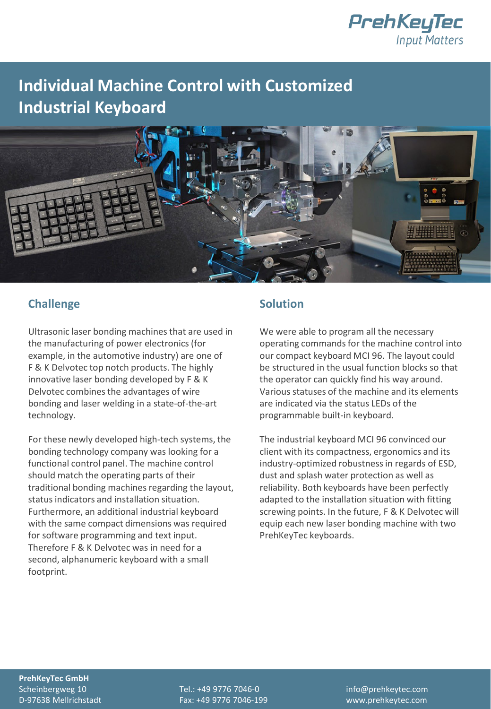

## **Individual Machine Control with Customized Industrial Keyboard**



## **Challenge**

Ultrasonic laser bonding machines that are used in the manufacturing of power electronics (for example, in the automotive industry) are one of F & K Delvotec top notch products. The highly innovative laser bonding developed by F & K Delvotec combines the advantages of wire bonding and laser welding in a state-of-the-art technology.

For these newly developed high-tech systems, the bonding technology company was looking for a functional control panel. The machine control should match the operating parts of their traditional bonding machines regarding the layout, status indicators and installation situation. Furthermore, an additional industrial keyboard with the same compact dimensions was required for software programming and text input. Therefore F & K Delvotec was in need for a second, alphanumeric keyboard with a small footprint.

## **Solution**

We were able to program all the necessary operating commands for the machine control into our compact keyboard MCI 96. The layout could be structured in the usual function blocks so that the operator can quickly find his way around. Various statuses of the machine and its elements are indicated via the status LEDs of the programmable built-in keyboard.

The industrial keyboard MCI 96 convinced our client with its compactness, ergonomics and its industry-optimized robustness in regards of ESD, dust and splash water protection as well as reliability. Both keyboards have been perfectly adapted to the installation situation with fitting screwing points. In the future, F & K Delvotec will equip each new laser bonding machine with two PrehKeyTec keyboards.

**PrehKeyTec GmbH**

Scheinbergweg 10 Tel.: +49 9776 7046-0 info@prehkeytec.com D-97638 Mellrichstadt Fax: +49 9776 7046-199 www.prehkeytec.com